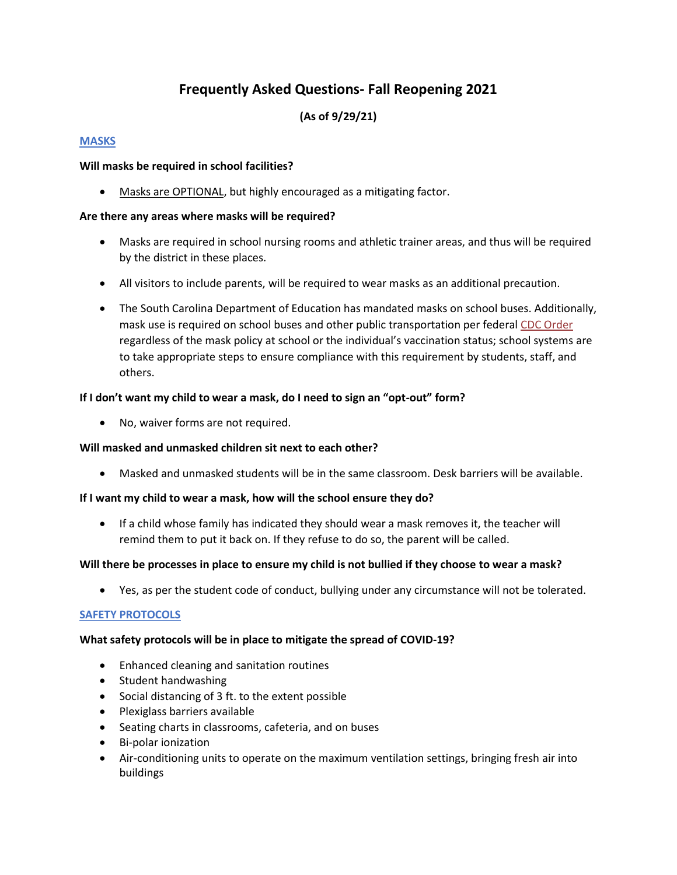# **Frequently Asked Questions- Fall Reopening 2021**

# **(As of 9/29/21)**

### **MASKS**

### **Will masks be required in school facilities?**

Masks are OPTIONAL, but highly encouraged as a mitigating factor.

## **Are there any areas where masks will be required?**

- Masks are required in school nursing rooms and athletic trainer areas, and thus will be required by the district in these places.
- All visitors to include parents, will be required to wear masks as an additional precaution.
- The South Carolina Department of Education has mandated masks on school buses. Additionally, mask use is required on school buses and other public transportation per federal [CDC Order](https://www.cdc.gov/quarantine/masks/mask-travel-guidance.html) regardless of the mask policy at school or the individual's vaccination status; school systems are to take appropriate steps to ensure compliance with this requirement by students, staff, and others.

## **If I don't want my child to wear a mask, do I need to sign an "opt-out" form?**

• No, waiver forms are not required.

### **Will masked and unmasked children sit next to each other?**

• Masked and unmasked students will be in the same classroom. Desk barriers will be available.

### **If I want my child to wear a mask, how will the school ensure they do?**

• If a child whose family has indicated they should wear a mask removes it, the teacher will remind them to put it back on. If they refuse to do so, the parent will be called.

### **Will there be processes in place to ensure my child is not bullied if they choose to wear a mask?**

• Yes, as per the student code of conduct, bullying under any circumstance will not be tolerated.

### **SAFETY PROTOCOLS**

### **What safety protocols will be in place to mitigate the spread of COVID-19?**

- Enhanced cleaning and sanitation routines
- Student handwashing
- Social distancing of 3 ft. to the extent possible
- Plexiglass barriers available
- Seating charts in classrooms, cafeteria, and on buses
- Bi-polar ionization
- Air-conditioning units to operate on the maximum ventilation settings, bringing fresh air into buildings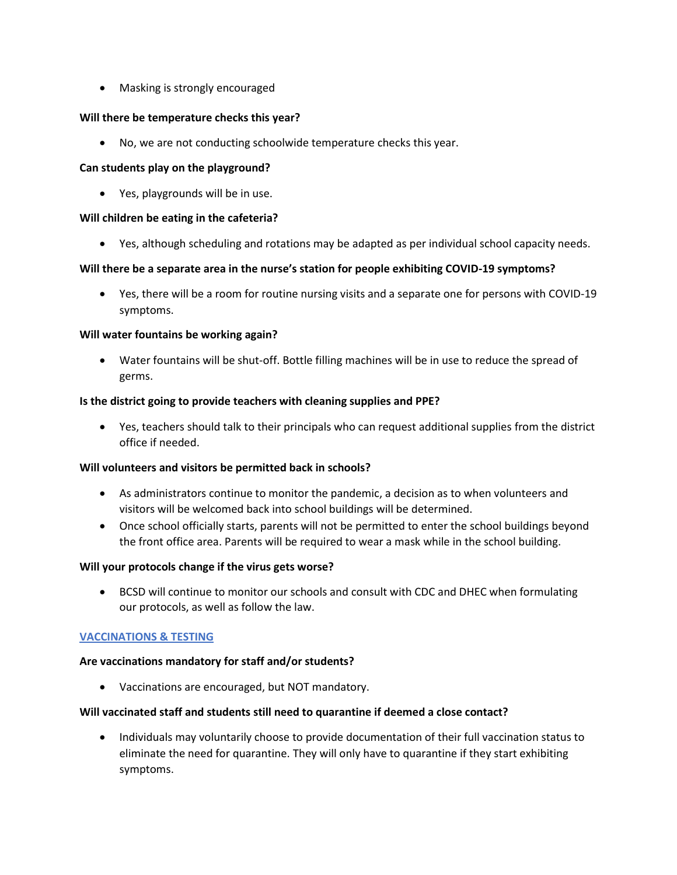• Masking is strongly encouraged

### **Will there be temperature checks this year?**

• No, we are not conducting schoolwide temperature checks this year.

#### **Can students play on the playground?**

• Yes, playgrounds will be in use.

#### **Will children be eating in the cafeteria?**

• Yes, although scheduling and rotations may be adapted as per individual school capacity needs.

### **Will there be a separate area in the nurse's station for people exhibiting COVID-19 symptoms?**

• Yes, there will be a room for routine nursing visits and a separate one for persons with COVID-19 symptoms.

### **Will water fountains be working again?**

• Water fountains will be shut-off. Bottle filling machines will be in use to reduce the spread of germs.

#### **Is the district going to provide teachers with cleaning supplies and PPE?**

• Yes, teachers should talk to their principals who can request additional supplies from the district office if needed.

### **Will volunteers and visitors be permitted back in schools?**

- As administrators continue to monitor the pandemic, a decision as to when volunteers and visitors will be welcomed back into school buildings will be determined.
- Once school officially starts, parents will not be permitted to enter the school buildings beyond the front office area. Parents will be required to wear a mask while in the school building.

### **Will your protocols change if the virus gets worse?**

• BCSD will continue to monitor our schools and consult with CDC and DHEC when formulating our protocols, as well as follow the law.

### **VACCINATIONS & TESTING**

#### **Are vaccinations mandatory for staff and/or students?**

• Vaccinations are encouraged, but NOT mandatory.

#### **Will vaccinated staff and students still need to quarantine if deemed a close contact?**

• Individuals may voluntarily choose to provide documentation of their full vaccination status to eliminate the need for quarantine. They will only have to quarantine if they start exhibiting symptoms.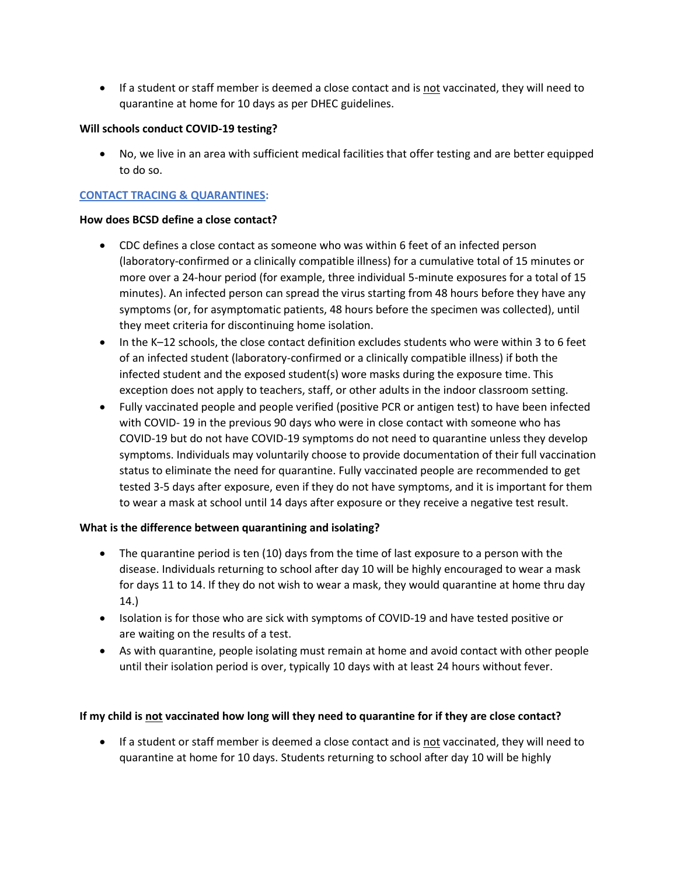• If a student or staff member is deemed a close contact and is not vaccinated, they will need to quarantine at home for 10 days as per DHEC guidelines.

## **Will schools conduct COVID-19 testing?**

• No, we live in an area with sufficient medical facilities that offer testing and are better equipped to do so.

# **CONTACT TRACING & QUARANTINES:**

### **How does BCSD define a close contact?**

- CDC defines a close contact as someone who was within 6 feet of an infected person (laboratory-confirmed or a clinically compatible illness) for a cumulative total of 15 minutes or more over a 24-hour period (for example, three individual 5-minute exposures for a total of 15 minutes). An infected person can spread the virus starting from 48 hours before they have any symptoms (or, for asymptomatic patients, 48 hours before the specimen was collected), until they meet criteria for discontinuing home isolation.
- In the K–12 schools, the close contact definition excludes students who were within 3 to 6 feet of an infected student (laboratory-confirmed or a clinically compatible illness) if both the infected student and the exposed student(s) wore masks during the exposure time. This exception does not apply to teachers, staff, or other adults in the indoor classroom setting.
- Fully vaccinated people and people verified (positive PCR or antigen test) to have been infected with COVID- 19 in the previous 90 days who were in close contact with someone who has COVID-19 but do not have COVID-19 symptoms do not need to quarantine unless they develop symptoms. Individuals may voluntarily choose to provide documentation of their full vaccination status to eliminate the need for quarantine. Fully vaccinated people are recommended to get tested 3-5 days after exposure, even if they do not have symptoms, and it is important for them to wear a mask at school until 14 days after exposure or they receive a negative test result.

# **What is the difference between quarantining and isolating?**

- The quarantine period is ten (10) days from the time of last exposure to a person with the disease. Individuals returning to school after day 10 will be highly encouraged to wear a mask for days 11 to 14. If they do not wish to wear a mask, they would quarantine at home thru day 14.)
- Isolation is for those who are sick with symptoms of COVID-19 and have tested positive or are waiting on the results of a test.
- As with quarantine, people isolating must remain at home and avoid contact with other people until their isolation period is over, typically 10 days with at least 24 hours without fever.

### **If my child is not vaccinated how long will they need to quarantine for if they are close contact?**

• If a student or staff member is deemed a close contact and is not vaccinated, they will need to quarantine at home for 10 days. Students returning to school after day 10 will be highly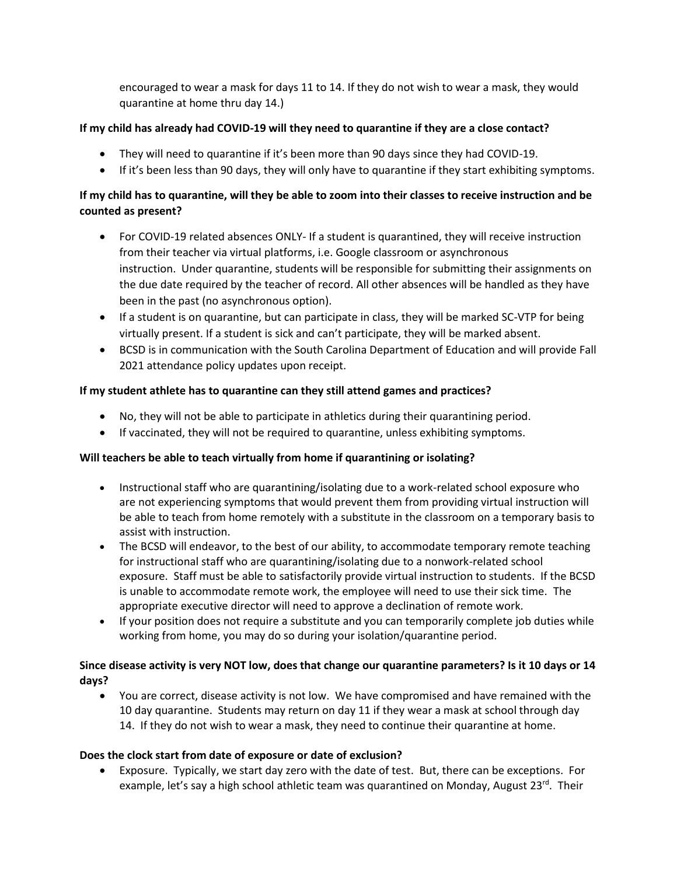encouraged to wear a mask for days 11 to 14. If they do not wish to wear a mask, they would quarantine at home thru day 14.)

# **If my child has already had COVID-19 will they need to quarantine if they are a close contact?**

- They will need to quarantine if it's been more than 90 days since they had COVID-19.
- If it's been less than 90 days, they will only have to quarantine if they start exhibiting symptoms.

# **If my child has to quarantine, will they be able to zoom into their classes to receive instruction and be counted as present?**

- For COVID-19 related absences ONLY- If a student is quarantined, they will receive instruction from their teacher via virtual platforms, i.e. Google classroom or asynchronous instruction. Under quarantine, students will be responsible for submitting their assignments on the due date required by the teacher of record. All other absences will be handled as they have been in the past (no asynchronous option).
- If a student is on quarantine, but can participate in class, they will be marked SC-VTP for being virtually present. If a student is sick and can't participate, they will be marked absent.
- BCSD is in communication with the South Carolina Department of Education and will provide Fall 2021 attendance policy updates upon receipt.

# **If my student athlete has to quarantine can they still attend games and practices?**

- No, they will not be able to participate in athletics during their quarantining period.
- If vaccinated, they will not be required to quarantine, unless exhibiting symptoms.

# **Will teachers be able to teach virtually from home if quarantining or isolating?**

- Instructional staff who are quarantining/isolating due to a work-related school exposure who are not experiencing symptoms that would prevent them from providing virtual instruction will be able to teach from home remotely with a substitute in the classroom on a temporary basis to assist with instruction.
- The BCSD will endeavor, to the best of our ability, to accommodate temporary remote teaching for instructional staff who are quarantining/isolating due to a nonwork-related school exposure. Staff must be able to satisfactorily provide virtual instruction to students. If the BCSD is unable to accommodate remote work, the employee will need to use their sick time. The appropriate executive director will need to approve a declination of remote work.
- If your position does not require a substitute and you can temporarily complete job duties while working from home, you may do so during your isolation/quarantine period.

# **Since disease activity is very NOT low, does that change our quarantine parameters? Is it 10 days or 14 days?**

• You are correct, disease activity is not low. We have compromised and have remained with the 10 day quarantine. Students may return on day 11 if they wear a mask at school through day 14. If they do not wish to wear a mask, they need to continue their quarantine at home.

### **Does the clock start from date of exposure or date of exclusion?**

• Exposure. Typically, we start day zero with the date of test. But, there can be exceptions. For example, let's say a high school athletic team was quarantined on Monday, August 23<sup>rd</sup>. Their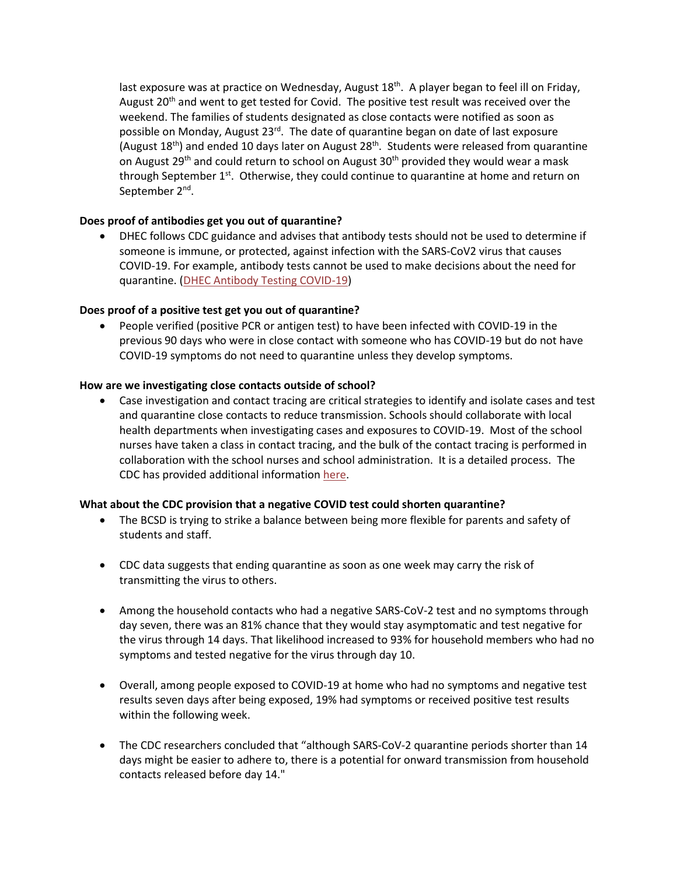last exposure was at practice on Wednesday, August 18<sup>th</sup>. A player began to feel ill on Friday, August 20<sup>th</sup> and went to get tested for Covid. The positive test result was received over the weekend. The families of students designated as close contacts were notified as soon as possible on Monday, August 23<sup>rd</sup>. The date of quarantine began on date of last exposure (August 18<sup>th</sup>) and ended 10 days later on August 28<sup>th</sup>. Students were released from quarantine on August 29<sup>th</sup> and could return to school on August 30<sup>th</sup> provided they would wear a mask through September 1<sup>st</sup>. Otherwise, they could continue to quarantine at home and return on September 2<sup>nd</sup>.

## **Does proof of antibodies get you out of quarantine?**

• DHEC follows CDC guidance and advises that antibody tests should not be used to determine if someone is immune, or protected, against infection with the SARS-CoV2 virus that causes COVID-19. For example, antibody tests cannot be used to make decisions about the need for quarantine. [\(DHEC Antibody Testing COVID-19\)](https://scdhec.gov/health-professionals/public-health-laboratory-phl/covid-19-testing-information-phl/antibody-testing-covid-19)

### **Does proof of a positive test get you out of quarantine?**

• People verified (positive PCR or antigen test) to have been infected with COVID-19 in the previous 90 days who were in close contact with someone who has COVID-19 but do not have COVID-19 symptoms do not need to quarantine unless they develop symptoms.

### **How are we investigating close contacts outside of school?**

• Case investigation and contact tracing are critical strategies to identify and isolate cases and test and quarantine close contacts to reduce transmission. Schools should collaborate with local health departments when investigating cases and exposures to COVID-19. Most of the school nurses have taken a class in contact tracing, and the bulk of the contact tracing is performed in collaboration with the school nurses and school administration. It is a detailed process. The CDC has provided additional information [here.](https://www.cdc.gov/coronavirus/2019-ncov/community/schools-childcare/contact-tracing.html)

### **What about the CDC provision that a negative COVID test could shorten quarantine?**

- The BCSD is trying to strike a balance between being more flexible for parents and safety of students and staff.
- CDC data suggests that ending quarantine as soon as one week may carry the risk of transmitting the virus to others.
- Among the household contacts who had a negative SARS-CoV-2 test and no symptoms through day seven, there was an 81% chance that they would stay asymptomatic and test negative for the virus through 14 days. That likelihood increased to 93% for household members who had no symptoms and tested negative for the virus through day 10.
- Overall, among people exposed to COVID-19 at home who had no symptoms and negative test results seven days after being exposed, 19% had symptoms or received positive test results within the following week.
- The CDC researchers concluded that "although SARS-CoV-2 quarantine periods shorter than 14 days might be easier to adhere to, there is a potential for onward transmission from household contacts released before day 14."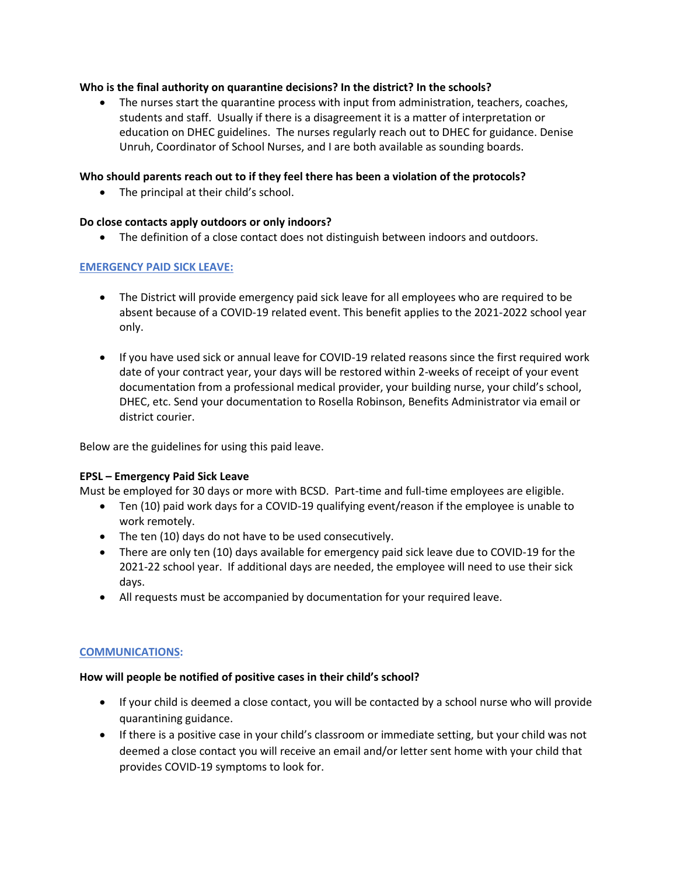### **Who is the final authority on quarantine decisions? In the district? In the schools?**

• The nurses start the quarantine process with input from administration, teachers, coaches, students and staff. Usually if there is a disagreement it is a matter of interpretation or education on DHEC guidelines. The nurses regularly reach out to DHEC for guidance. Denise Unruh, Coordinator of School Nurses, and I are both available as sounding boards.

#### **Who should parents reach out to if they feel there has been a violation of the protocols?**

• The principal at their child's school.

#### **Do close contacts apply outdoors or only indoors?**

• The definition of a close contact does not distinguish between indoors and outdoors.

#### **EMERGENCY PAID SICK LEAVE:**

- The District will provide emergency paid sick leave for all employees who are required to be absent because of a COVID-19 related event. This benefit applies to the 2021-2022 school year only.
- If you have used sick or annual leave for COVID-19 related reasons since the first required work date of your contract year, your days will be restored within 2-weeks of receipt of your event documentation from a professional medical provider, your building nurse, your child's school, DHEC, etc. Send your documentation to Rosella Robinson, Benefits Administrator via email or district courier.

Below are the guidelines for using this paid leave.

#### **EPSL – Emergency Paid Sick Leave**

Must be employed for 30 days or more with BCSD. Part-time and full-time employees are eligible.

- Ten (10) paid work days for a COVID-19 qualifying event/reason if the employee is unable to work remotely.
- The ten (10) days do not have to be used consecutively.
- There are only ten (10) days available for emergency paid sick leave due to COVID-19 for the 2021-22 school year. If additional days are needed, the employee will need to use their sick days.
- All requests must be accompanied by documentation for your required leave.

#### **COMMUNICATIONS:**

#### **How will people be notified of positive cases in their child's school?**

- If your child is deemed a close contact, you will be contacted by a school nurse who will provide quarantining guidance.
- If there is a positive case in your child's classroom or immediate setting, but your child was not deemed a close contact you will receive an email and/or letter sent home with your child that provides COVID-19 symptoms to look for.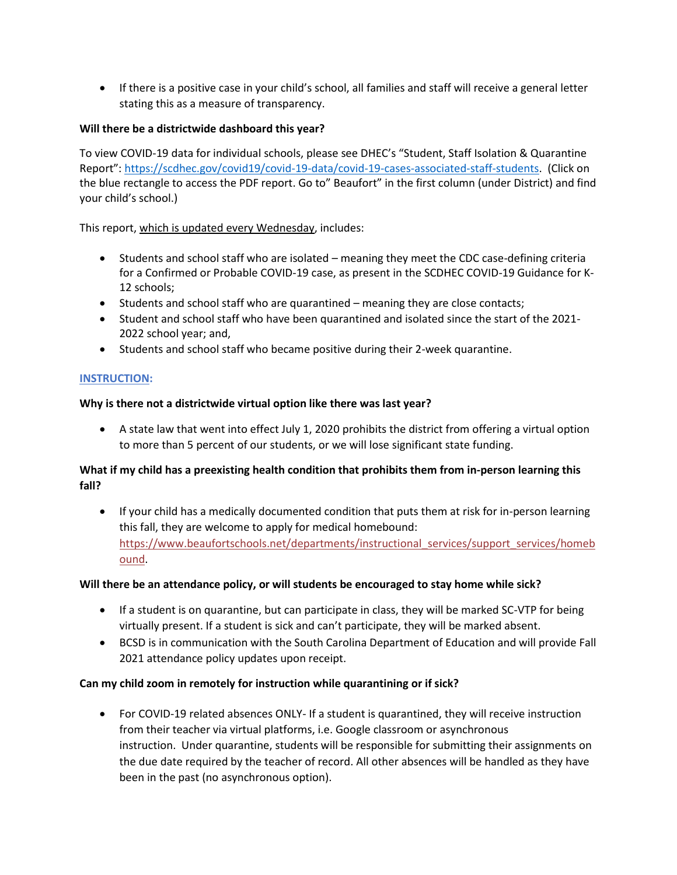• If there is a positive case in your child's school, all families and staff will receive a general letter stating this as a measure of transparency.

# **Will there be a districtwide dashboard this year?**

To view COVID-19 data for individual schools, please see DHEC's "Student, Staff Isolation & Quarantine Report": [https://scdhec.gov/covid19/covid-19-data/covid-19-cases-associated-staff-students.](https://scdhec.gov/covid19/covid-19-data/covid-19-cases-associated-staff-students) (Click on the blue rectangle to access the PDF report. Go to" Beaufort" in the first column (under District) and find your child's school.)

## This report, which is updated every Wednesday, includes:

- Students and school staff who are isolated meaning they meet the CDC case-defining criteria for a Confirmed or Probable COVID-19 case, as present in the SCDHEC COVID-19 Guidance for K-12 schools;
- Students and school staff who are quarantined meaning they are close contacts;
- Student and school staff who have been quarantined and isolated since the start of the 2021- 2022 school year; and,
- Students and school staff who became positive during their 2-week quarantine.

### **INSTRUCTION:**

## **Why is there not a districtwide virtual option like there was last year?**

• A state law that went into effect July 1, 2020 prohibits the district from offering a virtual option to more than 5 percent of our students, or we will lose significant state funding.

# **What if my child has a preexisting health condition that prohibits them from in-person learning this fall?**

• If your child has a medically documented condition that puts them at risk for in-person learning this fall, they are welcome to apply for medical homebound: [https://www.beaufortschools.net/departments/instructional\\_services/support\\_services/homeb](https://www.beaufortschools.net/departments/instructional_services/support_services/homebound) [ound.](https://www.beaufortschools.net/departments/instructional_services/support_services/homebound)

### **Will there be an attendance policy, or will students be encouraged to stay home while sick?**

- If a student is on quarantine, but can participate in class, they will be marked SC-VTP for being virtually present. If a student is sick and can't participate, they will be marked absent.
- BCSD is in communication with the South Carolina Department of Education and will provide Fall 2021 attendance policy updates upon receipt.

### **Can my child zoom in remotely for instruction while quarantining or if sick?**

• For COVID-19 related absences ONLY- If a student is quarantined, they will receive instruction from their teacher via virtual platforms, i.e. Google classroom or asynchronous instruction. Under quarantine, students will be responsible for submitting their assignments on the due date required by the teacher of record. All other absences will be handled as they have been in the past (no asynchronous option).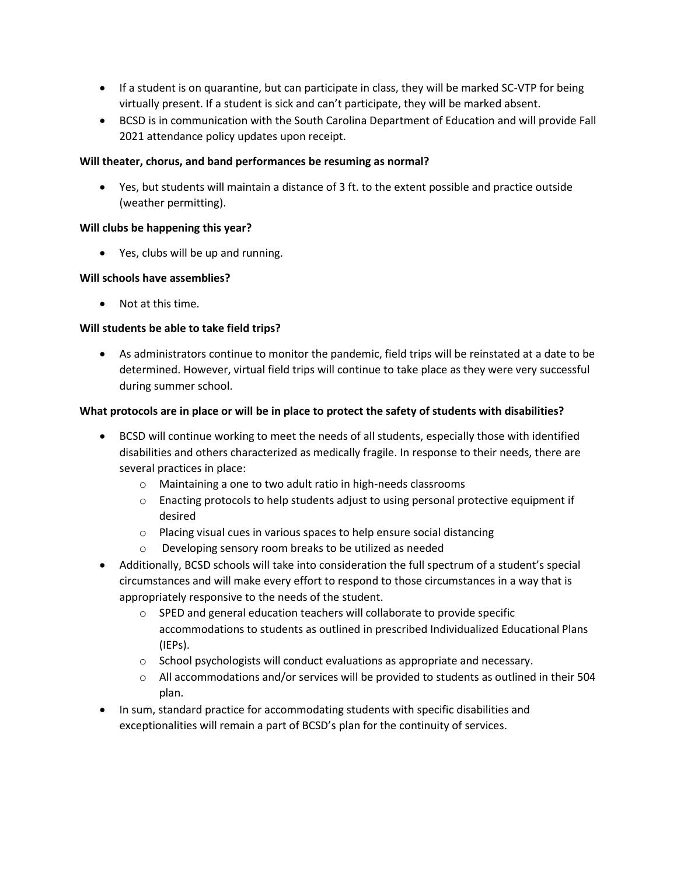- If a student is on quarantine, but can participate in class, they will be marked SC-VTP for being virtually present. If a student is sick and can't participate, they will be marked absent.
- BCSD is in communication with the South Carolina Department of Education and will provide Fall 2021 attendance policy updates upon receipt.

### **Will theater, chorus, and band performances be resuming as normal?**

• Yes, but students will maintain a distance of 3 ft. to the extent possible and practice outside (weather permitting).

### **Will clubs be happening this year?**

• Yes, clubs will be up and running.

### **Will schools have assemblies?**

• Not at this time.

## **Will students be able to take field trips?**

• As administrators continue to monitor the pandemic, field trips will be reinstated at a date to be determined. However, virtual field trips will continue to take place as they were very successful during summer school.

## **What protocols are in place or will be in place to protect the safety of students with disabilities?**

- BCSD will continue working to meet the needs of all students, especially those with identified disabilities and others characterized as medically fragile. In response to their needs, there are several practices in place:
	- o Maintaining a one to two adult ratio in high-needs classrooms
	- $\circ$  Enacting protocols to help students adjust to using personal protective equipment if desired
	- o Placing visual cues in various spaces to help ensure social distancing
	- o Developing sensory room breaks to be utilized as needed
- Additionally, BCSD schools will take into consideration the full spectrum of a student's special circumstances and will make every effort to respond to those circumstances in a way that is appropriately responsive to the needs of the student.
	- o SPED and general education teachers will collaborate to provide specific accommodations to students as outlined in prescribed Individualized Educational Plans (IEPs).
	- $\circ$  School psychologists will conduct evaluations as appropriate and necessary.
	- o All accommodations and/or services will be provided to students as outlined in their 504 plan.
- In sum, standard practice for accommodating students with specific disabilities and exceptionalities will remain a part of BCSD's plan for the continuity of services.